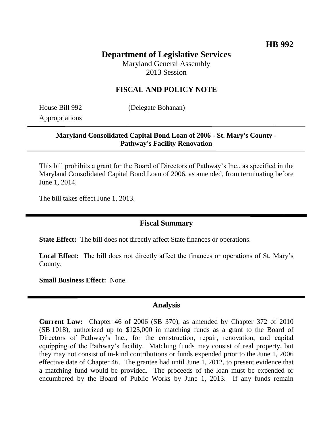# **Department of Legislative Services**

Maryland General Assembly 2013 Session

# **FISCAL AND POLICY NOTE**

Appropriations

House Bill 992 (Delegate Bohanan)

## **Maryland Consolidated Capital Bond Loan of 2006 - St. Mary's County - Pathway's Facility Renovation**

This bill prohibits a grant for the Board of Directors of Pathway's Inc., as specified in the Maryland Consolidated Capital Bond Loan of 2006, as amended, from terminating before June 1, 2014.

The bill takes effect June 1, 2013.

# **Fiscal Summary**

**State Effect:** The bill does not directly affect State finances or operations.

**Local Effect:** The bill does not directly affect the finances or operations of St. Mary's County.

**Small Business Effect:** None.

#### **Analysis**

**Current Law:** Chapter 46 of 2006 (SB 370), as amended by Chapter 372 of 2010 (SB 1018), authorized up to \$125,000 in matching funds as a grant to the Board of Directors of Pathway's Inc., for the construction, repair, renovation, and capital equipping of the Pathway's facility. Matching funds may consist of real property, but they may not consist of in-kind contributions or funds expended prior to the June 1, 2006 effective date of Chapter 46. The grantee had until June 1, 2012, to present evidence that a matching fund would be provided. The proceeds of the loan must be expended or encumbered by the Board of Public Works by June 1, 2013. If any funds remain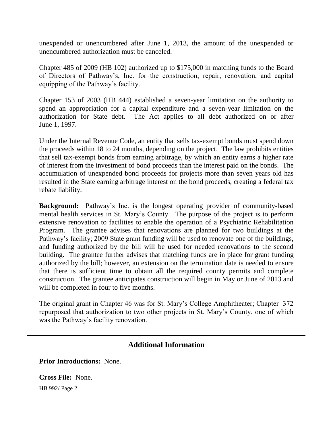unexpended or unencumbered after June 1, 2013, the amount of the unexpended or unencumbered authorization must be canceled.

Chapter 485 of 2009 (HB 102) authorized up to \$175,000 in matching funds to the Board of Directors of Pathway's, Inc. for the construction, repair, renovation, and capital equipping of the Pathway's facility.

Chapter 153 of 2003 (HB 444) established a seven-year limitation on the authority to spend an appropriation for a capital expenditure and a seven-year limitation on the authorization for State debt. The Act applies to all debt authorized on or after June 1, 1997.

Under the Internal Revenue Code, an entity that sells tax-exempt bonds must spend down the proceeds within 18 to 24 months, depending on the project. The law prohibits entities that sell tax-exempt bonds from earning arbitrage, by which an entity earns a higher rate of interest from the investment of bond proceeds than the interest paid on the bonds. The accumulation of unexpended bond proceeds for projects more than seven years old has resulted in the State earning arbitrage interest on the bond proceeds, creating a federal tax rebate liability.

**Background:** Pathway's Inc. is the longest operating provider of community-based mental health services in St. Mary's County. The purpose of the project is to perform extensive renovation to facilities to enable the operation of a Psychiatric Rehabilitation Program. The grantee advises that renovations are planned for two buildings at the Pathway's facility; 2009 State grant funding will be used to renovate one of the buildings, and funding authorized by the bill will be used for needed renovations to the second building. The grantee further advises that matching funds are in place for grant funding authorized by the bill; however, an extension on the termination date is needed to ensure that there is sufficient time to obtain all the required county permits and complete construction. The grantee anticipates construction will begin in May or June of 2013 and will be completed in four to five months.

The original grant in Chapter 46 was for St. Mary's College Amphitheater; Chapter 372 repurposed that authorization to two other projects in St. Mary's County, one of which was the Pathway's facility renovation.

## **Additional Information**

**Prior Introductions:** None.

HB 992/ Page 2 **Cross File:** None.